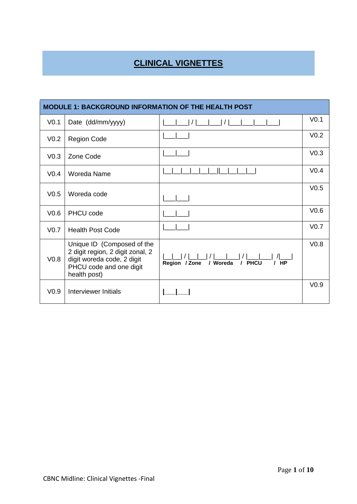# **CLINICAL VIGNETTES**

| <b>MODULE 1: BACKGROUND INFORMATION OF THE HEALTH POST</b> |                                                                                                                                         |                                               |                  |  |  |
|------------------------------------------------------------|-----------------------------------------------------------------------------------------------------------------------------------------|-----------------------------------------------|------------------|--|--|
| V <sub>0.1</sub>                                           | Date (dd/mm/yyyy)                                                                                                                       |                                               | V <sub>0.1</sub> |  |  |
| V <sub>0.2</sub>                                           | <b>Region Code</b>                                                                                                                      |                                               | V <sub>0.2</sub> |  |  |
| V <sub>0.3</sub>                                           | Zone Code                                                                                                                               |                                               | V <sub>0.3</sub> |  |  |
| V <sub>0.4</sub>                                           | Woreda Name                                                                                                                             |                                               | V <sub>0.4</sub> |  |  |
| V <sub>0.5</sub>                                           | Woreda code                                                                                                                             |                                               | V <sub>0.5</sub> |  |  |
| V <sub>0.6</sub>                                           | PHCU code                                                                                                                               |                                               | V <sub>0.6</sub> |  |  |
| V <sub>0.7</sub>                                           | <b>Health Post Code</b>                                                                                                                 |                                               | V <sub>0.7</sub> |  |  |
| V <sub>0.8</sub>                                           | Unique ID (Composed of the<br>2 digit region, 2 digit zonal, 2<br>digit woreda code, 2 digit<br>PHCU code and one digit<br>health post) | / PHCU<br>/ Woreda<br>$/$ HP<br>Region / Zone | V <sub>0.8</sub> |  |  |
| V <sub>0.9</sub>                                           | Interviewer Initials                                                                                                                    |                                               | V <sub>0.9</sub> |  |  |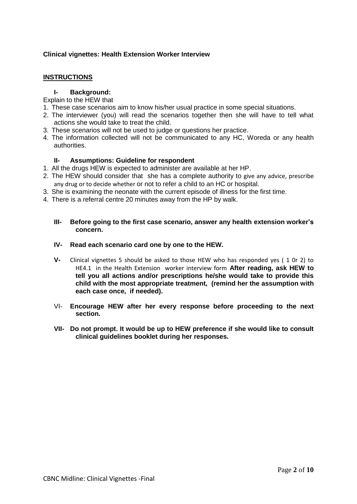## **Clinical vignettes: Health Extension Worker Interview**

## **INSTRUCTIONS**

#### **I- Background:**

Explain to the HEW that

- 1. These case scenarios aim to know his/her usual practice in some special situations.
- 2. The interviewer (you) will read the scenarios together then she will have to tell what actions she would take to treat the child.
- 3. These scenarios will not be used to judge or questions her practice.
- 4. The information collected will not be communicated to any HC, Woreda or any health authorities.

## **II- Assumptions: Guideline for respondent**

- 1. All the drugs HEW is expected to administer are available at her HP.
- 2. The HEW should consider that she has a complete authority to give any advice, prescribe any drug or to decide whether or not to refer a child to an HC or hospital.
- 3. She is examining the neonate with the current episode of illness for the first time.
- 4. There is a referral centre 20 minutes away from the HP by walk.

### **III- Before going to the first case scenario, answer any health extension worker's concern.**

#### **IV- Read each scenario card one by one to the HEW.**

- **V-** Clinical vignettes 5 should be asked to those HEW who has responded yes ( 1 0r 2) to HE4.1 in the Health Extension worker interview form **After reading, ask HEW to tell you all actions and/or prescriptions he/she would take to provide this child with the most appropriate treatment, (remind her the assumption with each case once, if needed).**
- VI- **Encourage HEW after her every response before proceeding to the next section.**
- **VII- Do not prompt. It would be up to HEW preference if she would like to consult clinical guidelines booklet during her responses.**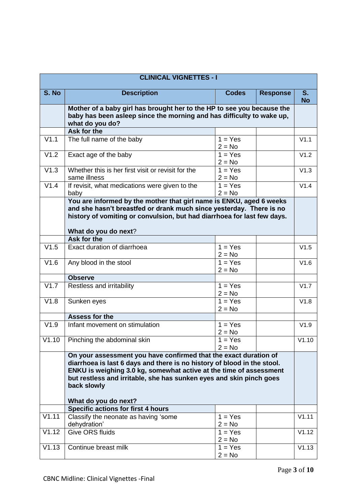|       | <b>CLINICAL VIGNETTES - I</b>                                                                                                                                                                                                                                                                                                   |                                             |                 |                      |
|-------|---------------------------------------------------------------------------------------------------------------------------------------------------------------------------------------------------------------------------------------------------------------------------------------------------------------------------------|---------------------------------------------|-----------------|----------------------|
| S. No | <b>Description</b>                                                                                                                                                                                                                                                                                                              | <b>Codes</b>                                | <b>Response</b> | $S_{1}$<br><b>No</b> |
|       | Mother of a baby girl has brought her to the HP to see you because the<br>baby has been asleep since the morning and has difficulty to wake up,<br>what do you do?                                                                                                                                                              |                                             |                 |                      |
|       | Ask for the                                                                                                                                                                                                                                                                                                                     |                                             |                 |                      |
| V1.1  | The full name of the baby                                                                                                                                                                                                                                                                                                       | $1 = Yes$<br>$2 = No$                       |                 | V1.1                 |
| V1.2  | Exact age of the baby                                                                                                                                                                                                                                                                                                           | $1 = Yes$<br>$2 = No$                       |                 | V1.2                 |
| V1.3  | Whether this is her first visit or revisit for the<br>same illness                                                                                                                                                                                                                                                              | $1 = Yes$<br>$2 = No$                       |                 | V1.3                 |
| V1.4  | If revisit, what medications were given to the<br>baby                                                                                                                                                                                                                                                                          | $\overline{1} = \overline{Yes}$<br>$2 = No$ |                 | V1.4                 |
|       | You are informed by the mother that girl name is ENKU, aged 6 weeks<br>and she hasn't breastfed or drank much since yesterday. There is no<br>history of vomiting or convulsion, but had diarrhoea for last few days.<br>What do you do next?                                                                                   |                                             |                 |                      |
|       | <b>Ask for the</b>                                                                                                                                                                                                                                                                                                              |                                             |                 |                      |
| V1.5  | Exact duration of diarrhoea                                                                                                                                                                                                                                                                                                     | $\overline{1}$ = Yes<br>$2 = No$            |                 | V1.5                 |
| V1.6  | Any blood in the stool                                                                                                                                                                                                                                                                                                          | $1 = Yes$<br>$2 = No$                       |                 | V1.6                 |
|       | <b>Observe</b>                                                                                                                                                                                                                                                                                                                  |                                             |                 |                      |
| V1.7  | Restless and irritability                                                                                                                                                                                                                                                                                                       | $1 = Yes$<br>$2 = No$                       |                 | V1.7                 |
| V1.8  | Sunken eyes                                                                                                                                                                                                                                                                                                                     | $1 = Yes$<br>$2 = No$                       |                 | V1.8                 |
|       | <b>Assess for the</b>                                                                                                                                                                                                                                                                                                           |                                             |                 |                      |
| V1.9  | Infant movement on stimulation                                                                                                                                                                                                                                                                                                  | $1 = Yes$<br>$2 = No$                       |                 | V1.9                 |
|       | V1.10   Pinching the abdominal skin                                                                                                                                                                                                                                                                                             | $1 = Yes$<br>$2 = No$                       |                 | V1.10                |
|       | On your assessment you have confirmed that the exact duration of<br>diarrhoea is last 6 days and there is no history of blood in the stool.<br>ENKU is weighing 3.0 kg, somewhat active at the time of assessment<br>but restless and irritable, she has sunken eyes and skin pinch goes<br>back slowly<br>What do you do next? |                                             |                 |                      |
|       | <b>Specific actions for first 4 hours</b>                                                                                                                                                                                                                                                                                       |                                             |                 |                      |
| V1.11 | Classify the neonate as having 'some<br>dehydration'                                                                                                                                                                                                                                                                            | $1 = Yes$<br>$2 = No$                       |                 | V1.11                |
| V1.12 | <b>Give ORS fluids</b>                                                                                                                                                                                                                                                                                                          | $1 = Yes$<br>$2 = No$                       |                 | V1.12                |
| V1.13 | Continue breast milk                                                                                                                                                                                                                                                                                                            | $1 = Yes$<br>$2 = No$                       |                 | V1.13                |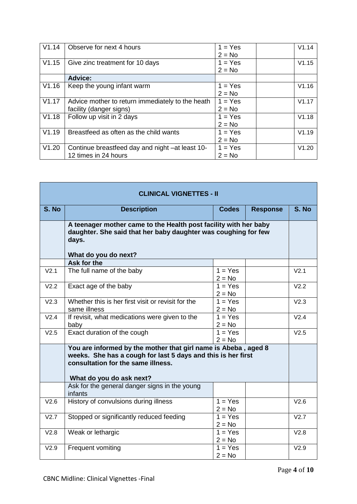| V1.14 | Observe for next 4 hours                                                    | $1 = Yes$<br>$2 = No$ | V1.14 |
|-------|-----------------------------------------------------------------------------|-----------------------|-------|
| V1.15 | Give zinc treatment for 10 days                                             | $1 = Yes$<br>$2 = No$ | V1.15 |
|       | <b>Advice:</b>                                                              |                       |       |
| V1.16 | Keep the young infant warm                                                  | $1 = Yes$<br>$2 = No$ | V1.16 |
| V1.17 | Advice mother to return immediately to the heath<br>facility (danger signs) | $1 = Yes$<br>$2 = No$ | V1.17 |
| V1.18 | Follow up visit in 2 days                                                   | $1 = Yes$<br>$2 = No$ | V1.18 |
| V1.19 | Breastfeed as often as the child wants                                      | $1 = Yes$<br>$2 = No$ | V1.19 |
| V1.20 | Continue breastfeed day and night -at least 10-<br>12 times in 24 hours     | $1 = Yes$<br>$2 = No$ | V1.20 |

| <b>CLINICAL VIGNETTES - II</b> |                                                                                                                                                                                                  |                                  |                 |                  |
|--------------------------------|--------------------------------------------------------------------------------------------------------------------------------------------------------------------------------------------------|----------------------------------|-----------------|------------------|
| S. No                          | <b>Description</b>                                                                                                                                                                               | <b>Codes</b>                     | <b>Response</b> | S. No            |
|                                | A teenager mother came to the Health post facility with her baby<br>daughter. She said that her baby daughter was coughing for few<br>days.<br>What do you do next?                              |                                  |                 |                  |
|                                | Ask for the                                                                                                                                                                                      |                                  |                 |                  |
| V <sub>2.1</sub>               | The full name of the baby                                                                                                                                                                        | $1 = Yes$<br>$2 = No$            |                 | V <sub>2.1</sub> |
| V <sub>2.2</sub>               | Exact age of the baby                                                                                                                                                                            | $1 = Yes$<br>$2 = No$            |                 | V2.2             |
| V <sub>2.3</sub>               | Whether this is her first visit or revisit for the<br>same illness                                                                                                                               | $\overline{1}$ = Yes<br>$2 = No$ |                 | V <sub>2.3</sub> |
| V2.4                           | If revisit, what medications were given to the<br>baby                                                                                                                                           | $1 = Yes$<br>$2 = No$            |                 | V2.4             |
| V2.5                           | Exact duration of the cough                                                                                                                                                                      | $1 = Yes$<br>$2 = No$            |                 | V2.5             |
|                                | You are informed by the mother that girl name is Abeba, aged 8<br>weeks. She has a cough for last 5 days and this is her first<br>consultation for the same illness.<br>What do you do ask next? |                                  |                 |                  |
|                                | Ask for the general danger signs in the young<br>infants                                                                                                                                         |                                  |                 |                  |
| V2.6                           | History of convulsions during illness                                                                                                                                                            | $1 = Yes$<br>$2 = No$            |                 | V2.6             |
| V2.7                           | Stopped or significantly reduced feeding                                                                                                                                                         | $1 = Yes$<br>$2 = No$            |                 | V2.7             |
| V2.8                           | Weak or lethargic                                                                                                                                                                                | $1 = Yes$<br>$2 = No$            |                 | V2.8             |
| V2.9                           | Frequent vomiting                                                                                                                                                                                | $1 = Yes$<br>$2 = No$            |                 | V2.9             |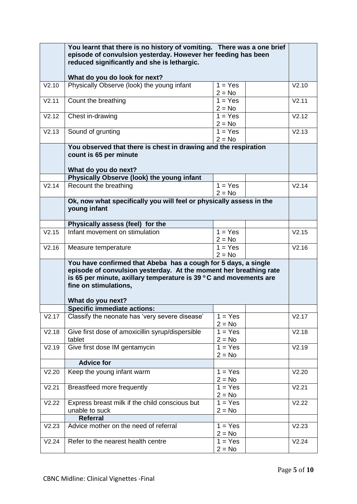|       | You learnt that there is no history of vomiting. There was a one brief<br>episode of convulsion yesterday. However her feeding has been<br>reduced significantly and she is lethargic.<br>What do you do look for next?                                |                       |       |
|-------|--------------------------------------------------------------------------------------------------------------------------------------------------------------------------------------------------------------------------------------------------------|-----------------------|-------|
| V2.10 | Physically Observe (look) the young infant                                                                                                                                                                                                             | $1 = Yes$<br>$2 = No$ | V2.10 |
| V2.11 | Count the breathing                                                                                                                                                                                                                                    | $1 = Yes$<br>$2 = No$ | V2.11 |
| V2.12 | Chest in-drawing                                                                                                                                                                                                                                       | $1 = Yes$<br>$2 = No$ | V2.12 |
| V2.13 | Sound of grunting                                                                                                                                                                                                                                      | $1 = Yes$<br>$2 = No$ | V2.13 |
|       | You observed that there is chest in drawing and the respiration<br>count is 65 per minute<br>What do you do next?                                                                                                                                      |                       |       |
|       | Physically Observe (look) the young infant                                                                                                                                                                                                             |                       |       |
| V2.14 | Recount the breathing                                                                                                                                                                                                                                  | $1 = Yes$<br>$2 = No$ | V2.14 |
|       | Ok, now what specifically you will feel or physically assess in the<br>young infant                                                                                                                                                                    |                       |       |
|       | Physically assess (feel) for the                                                                                                                                                                                                                       |                       |       |
| V2.15 | Infant movement on stimulation                                                                                                                                                                                                                         | $1 = Yes$<br>$2 = No$ | V2.15 |
| V2.16 | Measure temperature                                                                                                                                                                                                                                    | $1 = Yes$<br>$2 = No$ | V2.16 |
|       | You have confirmed that Abeba has a cough for 5 days, a single<br>episode of convulsion yesterday. At the moment her breathing rate<br>is 65 per minute, axillary temperature is 39 °C and movements are<br>fine on stimulations,<br>What do you next? |                       |       |
|       | <b>Specific immediate actions:</b>                                                                                                                                                                                                                     |                       |       |
| V2.17 | Classify the neonate has 'very severe disease'                                                                                                                                                                                                         | $1 = Yes$<br>$2 = No$ | V2.17 |
| V2.18 | Give first dose of amoxicillin syrup/dispersible<br>tablet                                                                                                                                                                                             | $1 = Yes$<br>$2 = No$ | V2.18 |
| V2.19 | Give first dose IM gentamycin                                                                                                                                                                                                                          | $1 = Yes$<br>$2 = No$ | V2.19 |
|       | <b>Advice for</b>                                                                                                                                                                                                                                      |                       |       |
| V2.20 | Keep the young infant warm                                                                                                                                                                                                                             | $1 = Yes$<br>$2 = No$ | V2.20 |
| V2.21 | Breastfeed more frequently                                                                                                                                                                                                                             | $1 = Yes$<br>$2 = No$ | V2.21 |
| V2.22 | Express breast milk if the child conscious but<br>unable to suck                                                                                                                                                                                       | $1 = Yes$<br>$2 = No$ | V2.22 |
|       | <b>Referral</b>                                                                                                                                                                                                                                        |                       |       |
| V2.23 | Advice mother on the need of referral                                                                                                                                                                                                                  | $1 = Yes$<br>$2 = No$ | V2.23 |
| V2.24 | Refer to the nearest health centre                                                                                                                                                                                                                     | $1 = Yes$<br>$2 = No$ | V2.24 |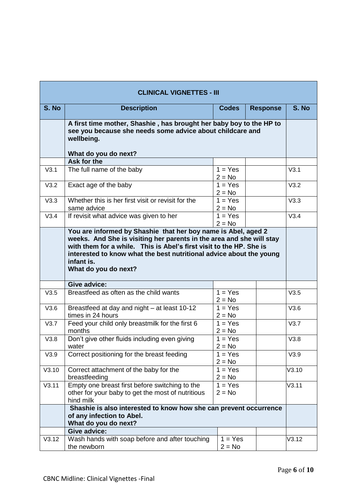|       | <b>CLINICAL VIGNETTES - III</b>                                                                                                                                                                                                                          |                                             |                 |       |
|-------|----------------------------------------------------------------------------------------------------------------------------------------------------------------------------------------------------------------------------------------------------------|---------------------------------------------|-----------------|-------|
| S. No | <b>Description</b>                                                                                                                                                                                                                                       | <b>Codes</b>                                | <b>Response</b> | S. No |
|       | A first time mother, Shashie, has brought her baby boy to the HP to<br>see you because she needs some advice about childcare and<br>wellbeing.<br>What do you do next?                                                                                   |                                             |                 |       |
|       | Ask for the                                                                                                                                                                                                                                              |                                             |                 |       |
| V3.1  | The full name of the baby                                                                                                                                                                                                                                | $1 = Yes$<br>$2 = No$                       |                 | V3.1  |
| V3.2  | Exact age of the baby                                                                                                                                                                                                                                    | $1 = Yes$<br>$2 = No$                       |                 | V3.2  |
| V3.3  | Whether this is her first visit or revisit for the<br>same advice                                                                                                                                                                                        | $1 = Yes$<br>$2 = No$                       |                 | V3.3  |
| V3.4  | If revisit what advice was given to her                                                                                                                                                                                                                  | $\overline{1} = \overline{Yes}$<br>$2 = No$ |                 | V3.4  |
|       | weeks. And She is visiting her parents in the area and she will stay<br>with them for a while. This is Abel's first visit to the HP. She is<br>interested to know what the best nutritional advice about the young<br>infant is.<br>What do you do next? |                                             |                 |       |
|       | <b>Give advice:</b>                                                                                                                                                                                                                                      |                                             |                 |       |
| V3.5  | Breastfeed as often as the child wants                                                                                                                                                                                                                   | $1 = Yes$<br>$2 = No$                       |                 | V3.5  |
| V3.6  | Breastfeed at day and night - at least 10-12<br>times in 24 hours                                                                                                                                                                                        | $1 = Yes$<br>$2 = No$                       |                 | V3.6  |
| V3.7  | Feed your child only breastmilk for the first 6<br>months                                                                                                                                                                                                | $1 = Yes$<br>$2 = No$                       |                 | V3.7  |
| V3.8  | Don't give other fluids including even giving<br>water                                                                                                                                                                                                   | $1 = Yes$<br>$2 = No$                       |                 | V3.8  |
| V3.9  | Correct positioning for the breast feeding                                                                                                                                                                                                               | $1 = Yes$<br>$2 = No$                       |                 | V3.9  |
| V3.10 | Correct attachment of the baby for the<br>breastfeeding                                                                                                                                                                                                  | $1 = Yes$<br>$2 = No$                       |                 | V3.10 |
| V3.11 | Empty one breast first before switching to the<br>other for your baby to get the most of nutritious<br>hind milk                                                                                                                                         | $1 = Yes$<br>$2 = No$                       |                 | V3.11 |
|       | Shashie is also interested to know how she can prevent occurrence<br>of any infection to Abel.<br>What do you do next?                                                                                                                                   |                                             |                 |       |
|       | <b>Give advice:</b>                                                                                                                                                                                                                                      |                                             |                 |       |
| V3.12 | Wash hands with soap before and after touching<br>the newborn                                                                                                                                                                                            | $1 = Yes$<br>$2 = No$                       |                 | V3.12 |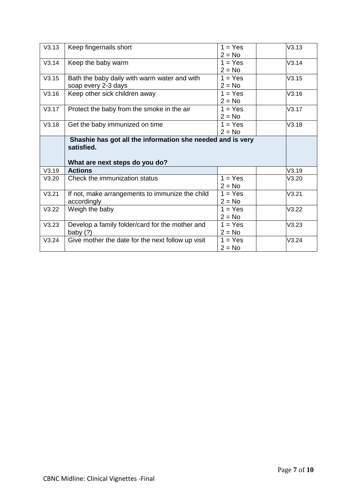| V3.13 | Keep fingernails short                            | $1 = Yes$ | V3.13 |
|-------|---------------------------------------------------|-----------|-------|
|       |                                                   | $2 = No$  |       |
| V3.14 | Keep the baby warm                                | $1 = Yes$ | V3.14 |
|       |                                                   | $2 = No$  |       |
| V3.15 | Bath the baby daily with warm water and with      | $1 = Yes$ | V3.15 |
|       | soap every 2-3 days                               | $2 = No$  |       |
| V3.16 | Keep other sick children away                     | $1 = Yes$ | V3.16 |
|       |                                                   | $2 = No$  |       |
| V3.17 | Protect the baby from the smoke in the air        | $1 = Yes$ | V3.17 |
|       |                                                   | $2 = No$  |       |
| V3.18 | Get the baby immunized on time                    | $1 = Yes$ | V3.18 |
|       |                                                   | $2 = No$  |       |
|       | satisfied.<br>What are next steps do you do?      |           |       |
| V3.19 | <b>Actions</b>                                    |           | V3.19 |
| V3.20 | Check the immunization status                     | $1 = Yes$ | V3.20 |
|       |                                                   | $2 = No$  |       |
| V3.21 | If not, make arrangements to immunize the child   | $1 = Yes$ | V3.21 |
|       | accordingly                                       | $2 = No$  |       |
| V3.22 | Weigh the baby                                    | $1 = Yes$ | V3.22 |
|       |                                                   |           |       |
|       |                                                   | $2 = No$  |       |
| V3.23 | Develop a family folder/card for the mother and   | $1 = Yes$ | V3.23 |
|       | baby $(?)$                                        | $2 = No$  |       |
| V3.24 | Give mother the date for the next follow up visit | $1 = Yes$ | V3.24 |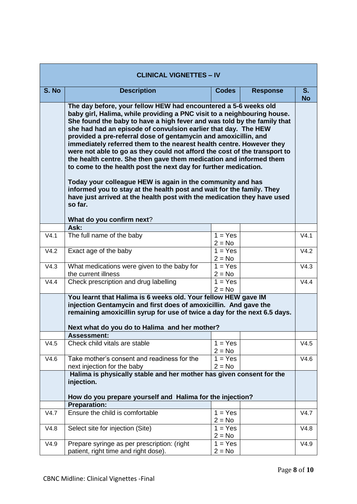| <b>CLINICAL VIGNETTES - IV</b> |                                                                                                                                                                                                                                                                                                                                                                                                                                                                                                                                                                                                                                                                                                                                                                                                                                                                                       |                                  |                 |                      |
|--------------------------------|---------------------------------------------------------------------------------------------------------------------------------------------------------------------------------------------------------------------------------------------------------------------------------------------------------------------------------------------------------------------------------------------------------------------------------------------------------------------------------------------------------------------------------------------------------------------------------------------------------------------------------------------------------------------------------------------------------------------------------------------------------------------------------------------------------------------------------------------------------------------------------------|----------------------------------|-----------------|----------------------|
| S. No                          | <b>Description</b>                                                                                                                                                                                                                                                                                                                                                                                                                                                                                                                                                                                                                                                                                                                                                                                                                                                                    | <b>Codes</b>                     | <b>Response</b> | $S_{1}$<br><b>No</b> |
|                                | The day before, your fellow HEW had encountered a 5-6 weeks old<br>baby girl, Halima, while providing a PNC visit to a neighbouring house.<br>She found the baby to have a high fever and was told by the family that<br>she had had an episode of convulsion earlier that day. The HEW<br>provided a pre-referral dose of gentamycin and amoxicillin, and<br>immediately referred them to the nearest health centre. However they<br>were not able to go as they could not afford the cost of the transport to<br>the health centre. She then gave them medication and informed them<br>to come to the health post the next day for further medication.<br>Today your colleague HEW is again in the community and has<br>informed you to stay at the health post and wait for the family. They<br>have just arrived at the health post with the medication they have used<br>so far. |                                  |                 |                      |
|                                | What do you confirm next?<br>Ask:                                                                                                                                                                                                                                                                                                                                                                                                                                                                                                                                                                                                                                                                                                                                                                                                                                                     |                                  |                 |                      |
| V4.1                           | The full name of the baby                                                                                                                                                                                                                                                                                                                                                                                                                                                                                                                                                                                                                                                                                                                                                                                                                                                             | $1 = Yes$<br>$2 = No$            |                 | V4.1                 |
| V4.2                           | Exact age of the baby                                                                                                                                                                                                                                                                                                                                                                                                                                                                                                                                                                                                                                                                                                                                                                                                                                                                 | $1 = Yes$<br>$2 = No$            |                 | V4.2                 |
| V4.3                           | What medications were given to the baby for<br>the current illness                                                                                                                                                                                                                                                                                                                                                                                                                                                                                                                                                                                                                                                                                                                                                                                                                    | $1 = Yes$<br>$2 = No$            |                 | V4.3                 |
| V4.4                           | Check prescription and drug labelling                                                                                                                                                                                                                                                                                                                                                                                                                                                                                                                                                                                                                                                                                                                                                                                                                                                 | $1 = Yes$<br>$2 = No$            |                 | V4.4                 |
| V4.5                           | You learnt that Halima is 6 weeks old. Your fellow HEW gave IM<br>injection Gentamycin and first does of amoxicillin. And gave the<br>remaining amoxicillin syrup for use of twice a day for the next 6.5 days.<br>Next what do you do to Halima and her mother?<br><b>Assessment:</b><br>Check child vitals are stable<br>$1 = Yes$<br>$2 = No$                                                                                                                                                                                                                                                                                                                                                                                                                                                                                                                                      |                                  |                 |                      |
| V4.6                           | Take mother's consent and readiness for the<br>next injection for the baby                                                                                                                                                                                                                                                                                                                                                                                                                                                                                                                                                                                                                                                                                                                                                                                                            | $1 = Yes$<br>$2 = No$            |                 | V4.6                 |
|                                | Halima is physically stable and her mother has given consent for the<br>injection.<br>How do you prepare yourself and Halima for the injection?                                                                                                                                                                                                                                                                                                                                                                                                                                                                                                                                                                                                                                                                                                                                       |                                  |                 |                      |
|                                | <b>Preparation:</b>                                                                                                                                                                                                                                                                                                                                                                                                                                                                                                                                                                                                                                                                                                                                                                                                                                                                   |                                  |                 |                      |
| V4.7                           | Ensure the child is comfortable                                                                                                                                                                                                                                                                                                                                                                                                                                                                                                                                                                                                                                                                                                                                                                                                                                                       | $\overline{1}$ = Yes<br>$2 = No$ |                 | V4.7                 |
| V4.8                           | Select site for injection (Site)                                                                                                                                                                                                                                                                                                                                                                                                                                                                                                                                                                                                                                                                                                                                                                                                                                                      | $1 = Yes$<br>$2 = No$            |                 | V4.8                 |
| V4.9                           | Prepare syringe as per prescription: (right<br>patient, right time and right dose).                                                                                                                                                                                                                                                                                                                                                                                                                                                                                                                                                                                                                                                                                                                                                                                                   | $1 = Yes$<br>$2 = No$            |                 | V4.9                 |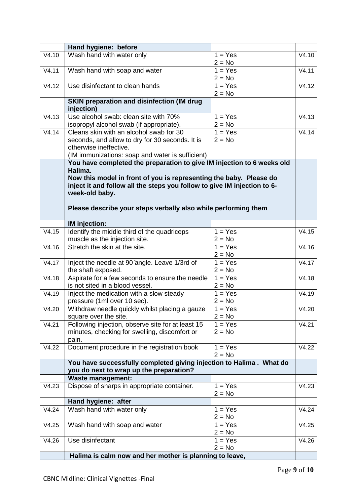|       | Hand hygiene: before                                                              |                       |       |
|-------|-----------------------------------------------------------------------------------|-----------------------|-------|
| V4.10 | Wash hand with water only                                                         | $1 = Yes$<br>$2 = No$ | V4.10 |
| V4.11 | Wash hand with soap and water                                                     | $1 = Yes$             | V4.11 |
| V4.12 | Use disinfectant to clean hands                                                   | $2 = No$<br>$1 = Yes$ | V4.12 |
|       |                                                                                   | $2 = No$              |       |
|       | <b>SKIN preparation and disinfection (IM drug</b><br>injection)                   |                       |       |
| V4.13 | Use alcohol swab: clean site with 70%<br>isopropyl alcohol swab (if appropriate). | $1 = Yes$<br>$2 = No$ | V4.13 |
| V4.14 | Cleans skin with an alcohol swab for 30                                           | $1 = Yes$             | V4.14 |
|       | seconds, and allow to dry for 30 seconds. It is                                   | $2 = No$              |       |
|       | otherwise ineffective.                                                            |                       |       |
|       | (IM immunizations: soap and water is sufficient)                                  |                       |       |
|       | You have completed the preparation to give IM injection to 6 weeks old            |                       |       |
|       | Halima.                                                                           |                       |       |
|       | Now this model in front of you is representing the baby. Please do                |                       |       |
|       | inject it and follow all the steps you follow to give IM injection to 6-          |                       |       |
|       | week-old baby.                                                                    |                       |       |
|       | Please describe your steps verbally also while performing them                    |                       |       |
|       |                                                                                   |                       |       |
|       | <b>IM</b> injection:                                                              |                       |       |
| V4.15 | Identify the middle third of the quadriceps                                       | $1 = Yes$             | V4.15 |
|       | muscle as the injection site.                                                     | $2 = No$              |       |
| V4.16 | Stretch the skin at the site.                                                     | $1 = Yes$             | V4.16 |
|       |                                                                                   | $2 = No$              |       |
| V4.17 | Inject the needle at 90 angle. Leave 1/3rd of                                     | $1 = Yes$             | V4.17 |
|       | the shaft exposed.                                                                | $2 = No$              |       |
| V4.18 | Aspirate for a few seconds to ensure the needle                                   | $1 = Yes$             | V4.18 |
|       | is not sited in a blood vessel.                                                   | $2 = No$              |       |
| V4.19 | Inject the medication with a slow steady                                          | $1 = Yes$             | V4.19 |
| V4.20 | pressure (1ml over 10 sec).<br>Withdraw needle quickly whilst placing a gauze     | $2 = No$<br>$1 = Yes$ |       |
|       | square over the site.                                                             | $2 = No$              | V4.20 |
| V4.21 | Following injection, observe site for at least 15                                 | $1 = Yes$             | V4.21 |
|       | minutes, checking for swelling, discomfort or                                     | $2 = No$              |       |
|       | pain.                                                                             |                       |       |
| V4.22 | Document procedure in the registration book                                       | $1 = Yes$             | V4.22 |
|       |                                                                                   | $2 = No$              |       |
|       | You have successfully completed giving injection to Halima . What do              |                       |       |
|       | you do next to wrap up the preparation?                                           |                       |       |
|       | <b>Waste management:</b>                                                          |                       |       |
| V4.23 | Dispose of sharps in appropriate container.                                       | $1 = Yes$             | V4.23 |
|       |                                                                                   | $2 = No$              |       |
|       | Hand hygiene: after                                                               |                       |       |
| V4.24 | Wash hand with water only                                                         | $1 = Yes$<br>$2 = No$ | V4.24 |
| V4.25 | Wash hand with soap and water                                                     | $1 = Yes$             | V4.25 |
|       |                                                                                   | $2 = No$              |       |
| V4.26 | Use disinfectant                                                                  | $1 = Yes$             | V4.26 |
|       |                                                                                   | $2 = No$              |       |
|       | Halima is calm now and her mother is planning to leave,                           |                       |       |